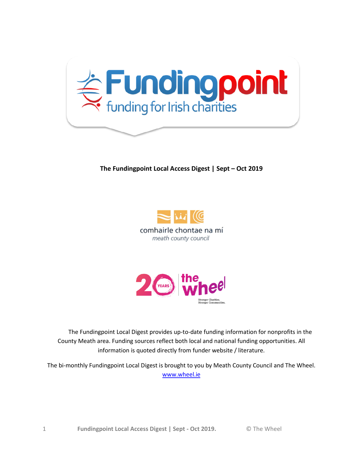

#### **The Fundingpoint Local Access Digest | Sept – Oct 2019**





 The Fundingpoint Local Digest provides up-to-date funding information for nonprofits in the County Meath area. Funding sources reflect both local and national funding opportunities. All information is quoted directly from funder website / literature.

The bi-monthly Fundingpoint Local Digest is brought to you by Meath County Council and The Wheel. [www.wheel.ie](http://www.wheel.ie/)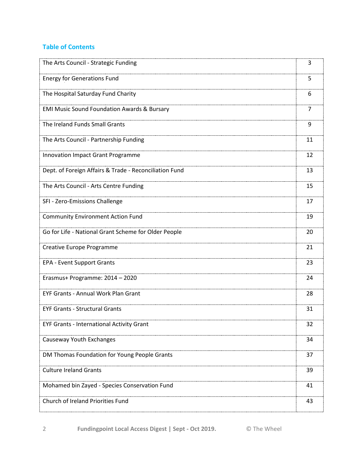## **Table of Contents**

| The Arts Council - Strategic Funding                   | 3  |
|--------------------------------------------------------|----|
| <b>Energy for Generations Fund</b>                     | 5  |
| The Hospital Saturday Fund Charity                     | 6  |
| <b>EMI Music Sound Foundation Awards &amp; Bursary</b> | 7  |
| The Ireland Funds Small Grants                         | 9  |
| The Arts Council - Partnership Funding                 | 11 |
| Innovation Impact Grant Programme                      | 12 |
| Dept. of Foreign Affairs & Trade - Reconciliation Fund | 13 |
| The Arts Council - Arts Centre Funding                 | 15 |
| SFI - Zero-Emissions Challenge                         | 17 |
| <b>Community Environment Action Fund</b>               | 19 |
| Go for Life - National Grant Scheme for Older People   | 20 |
| Creative Europe Programme                              | 21 |
| <b>EPA - Event Support Grants</b>                      | 23 |
| Erasmus+ Programme: 2014 - 2020                        | 24 |
| <b>EYF Grants - Annual Work Plan Grant</b>             | 28 |
| <b>EYF Grants - Structural Grants</b>                  | 31 |
| <b>EYF Grants - International Activity Grant</b>       | 32 |
| Causeway Youth Exchanges                               | 34 |
| DM Thomas Foundation for Young People Grants           | 37 |
| <b>Culture Ireland Grants</b>                          | 39 |
| Mohamed bin Zayed - Species Conservation Fund          | 41 |
| Church of Ireland Priorities Fund                      | 43 |

2 **Fundingpoint Local Access Digest | Sept - Oct 2019.** © The Wheel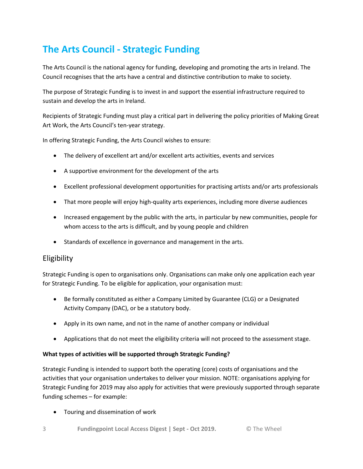# **The Arts Council - Strategic Funding**

The Arts Council is the national agency for funding, developing and promoting the arts in Ireland. The Council recognises that the arts have a central and distinctive contribution to make to society.

The purpose of Strategic Funding is to invest in and support the essential infrastructure required to sustain and develop the arts in Ireland.

Recipients of Strategic Funding must play a critical part in delivering the policy priorities of Making Great Art Work, the Arts Council's ten-year strategy.

In offering Strategic Funding, the Arts Council wishes to ensure:

- The delivery of excellent art and/or excellent arts activities, events and services
- A supportive environment for the development of the arts
- Excellent professional development opportunities for practising artists and/or arts professionals
- That more people will enjoy high-quality arts experiences, including more diverse audiences
- Increased engagement by the public with the arts, in particular by new communities, people for whom access to the arts is difficult, and by young people and children
- Standards of excellence in governance and management in the arts.

## Eligibility

Strategic Funding is open to organisations only. Organisations can make only one application each year for Strategic Funding. To be eligible for application, your organisation must:

- Be formally constituted as either a Company Limited by Guarantee (CLG) or a Designated Activity Company (DAC), or be a statutory body.
- Apply in its own name, and not in the name of another company or individual
- Applications that do not meet the eligibility criteria will not proceed to the assessment stage.

#### **What types of activities will be supported through Strategic Funding?**

Strategic Funding is intended to support both the operating (core) costs of organisations and the activities that your organisation undertakes to deliver your mission. NOTE: organisations applying for Strategic Funding for 2019 may also apply for activities that were previously supported through separate funding schemes – for example:

Touring and dissemination of work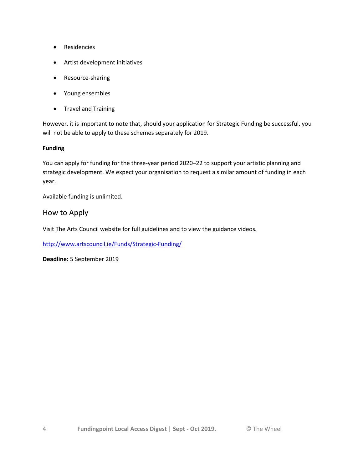- Residencies
- Artist development initiatives
- Resource-sharing
- Young ensembles
- Travel and Training

However, it is important to note that, should your application for Strategic Funding be successful, you will not be able to apply to these schemes separately for 2019.

#### **Funding**

You can apply for funding for the three-year period 2020–22 to support your artistic planning and strategic development. We expect your organisation to request a similar amount of funding in each year.

Available funding is unlimited.

### How to Apply

Visit The Arts Council website for full guidelines and to view the guidance videos.

<http://www.artscouncil.ie/Funds/Strategic-Funding/>

**Deadline:** 5 September 2019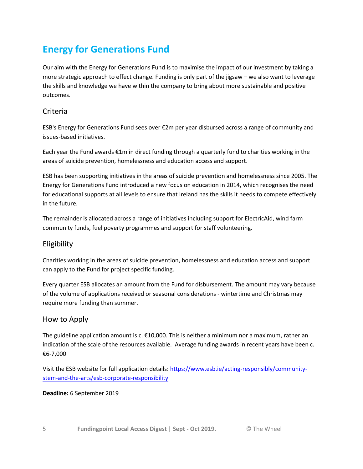# **Energy for Generations Fund**

Our aim with the Energy for Generations Fund is to maximise the impact of our investment by taking a more strategic approach to effect change. Funding is only part of the jigsaw – we also want to leverage the skills and knowledge we have within the company to bring about more sustainable and positive outcomes.

## Criteria

ESB's Energy for Generations Fund sees over €2m per year disbursed across a range of community and issues-based initiatives.

Each year the Fund awards €1m in direct funding through a quarterly fund to charities working in the areas of suicide prevention, homelessness and education access and support.

ESB has been supporting initiatives in the areas of suicide prevention and homelessness since 2005. The Energy for Generations Fund introduced a new focus on education in 2014, which recognises the need for educational supports at all levels to ensure that Ireland has the skills it needs to compete effectively in the future.

The remainder is allocated across a range of initiatives including support for ElectricAid, wind farm community funds, fuel poverty programmes and support for staff volunteering.

## Eligibility

Charities working in the areas of suicide prevention, homelessness and education access and support can apply to the Fund for project specific funding.

Every quarter ESB allocates an amount from the Fund for disbursement. The amount may vary because of the volume of applications received or seasonal considerations - wintertime and Christmas may require more funding than summer.

## How to Apply

The guideline application amount is c.  $\epsilon$ 10,000. This is neither a minimum nor a maximum, rather an indication of the scale of the resources available. Average funding awards in recent years have been c. €6-7,000

Visit the ESB website for full application details: [https://www.esb.ie/acting-responsibly/community](https://www.esb.ie/acting-responsibly/community-stem-and-the-arts/esb-corporate-responsibility)[stem-and-the-arts/esb-corporate-responsibility](https://www.esb.ie/acting-responsibly/community-stem-and-the-arts/esb-corporate-responsibility)

### **Deadline:** 6 September 2019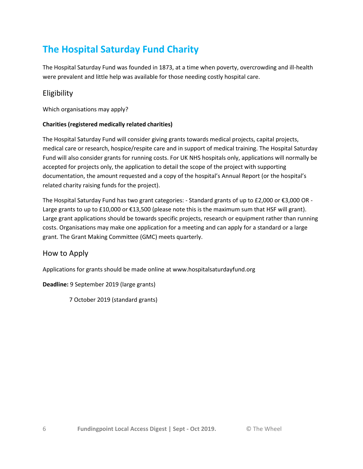# **The Hospital Saturday Fund Charity**

The Hospital Saturday Fund was founded in 1873, at a time when poverty, overcrowding and ill-health were prevalent and little help was available for those needing costly hospital care.

## Eligibility

Which organisations may apply?

#### **Charities (registered medically related charities)**

The Hospital Saturday Fund will consider giving grants towards medical projects, capital projects, medical care or research, hospice/respite care and in support of medical training. The Hospital Saturday Fund will also consider grants for running costs. For UK NHS hospitals only, applications will normally be accepted for projects only, the application to detail the scope of the project with supporting documentation, the amount requested and a copy of the hospital's Annual Report (or the hospital's related charity raising funds for the project).

The Hospital Saturday Fund has two grant categories: - Standard grants of up to £2,000 or €3,000 OR - Large grants to up to £10,000 or €13,500 (please note this is the maximum sum that HSF will grant). Large grant applications should be towards specific projects, research or equipment rather than running costs. Organisations may make one application for a meeting and can apply for a standard or a large grant. The Grant Making Committee (GMC) meets quarterly.

## How to Apply

Applications for grants should be made online at www.hospitalsaturdayfund.org

### **Deadline:** 9 September 2019 (large grants)

7 October 2019 (standard grants)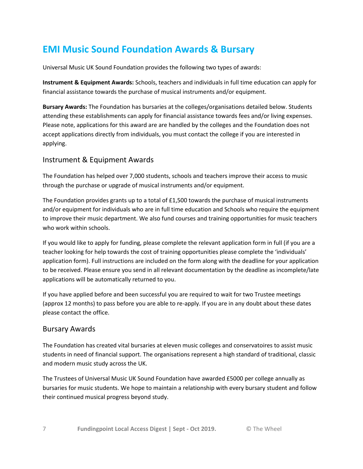## **EMI Music Sound Foundation Awards & Bursary**

Universal Music UK Sound Foundation provides the following two types of awards:

**Instrument & Equipment Awards:** Schools, teachers and individuals in full time education can apply for financial assistance towards the purchase of musical instruments and/or equipment.

**Bursary Awards:** The Foundation has bursaries at the colleges/organisations detailed below. Students attending these establishments can apply for financial assistance towards fees and/or living expenses. Please note, applications for this award are are handled by the colleges and the Foundation does not accept applications directly from individuals, you must contact the college if you are interested in applying.

## Instrument & Equipment Awards

The Foundation has helped over 7,000 students, schools and teachers improve their access to music through the purchase or upgrade of musical instruments and/or equipment.

The Foundation provides grants up to a total of £1,500 towards the purchase of musical instruments and/or equipment for individuals who are in full time education and Schools who require the equipment to improve their music department. We also fund courses and training opportunities for music teachers who work within schools.

If you would like to apply for funding, please complete the relevant application form in full (if you are a teacher looking for help towards the cost of training opportunities please complete the 'individuals' application form). Full instructions are included on the form along with the deadline for your application to be received. Please ensure you send in all relevant documentation by the deadline as incomplete/late applications will be automatically returned to you.

If you have applied before and been successful you are required to wait for two Trustee meetings (approx 12 months) to pass before you are able to re-apply. If you are in any doubt about these dates please contact the office.

## Bursary Awards

The Foundation has created vital bursaries at eleven music colleges and conservatoires to assist music students in need of financial support. The organisations represent a high standard of traditional, classic and modern music study across the UK.

The Trustees of Universal Music UK Sound Foundation have awarded £5000 per college annually as bursaries for music students. We hope to maintain a relationship with every bursary student and follow their continued musical progress beyond study.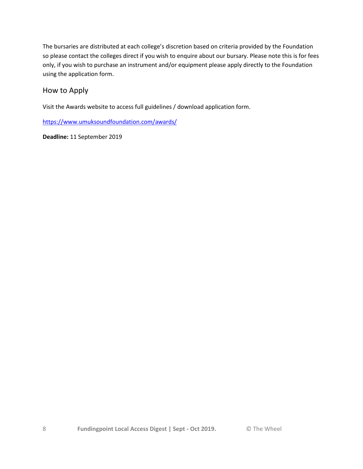The bursaries are distributed at each college's discretion based on criteria provided by the Foundation so please contact the colleges direct if you wish to enquire about our bursary. Please note this is for fees only, if you wish to purchase an instrument and/or equipment please apply directly to the Foundation using the application form.

## How to Apply

Visit the Awards website to access full guidelines / download application form.

<https://www.umuksoundfoundation.com/awards/>

**Deadline:** 11 September 2019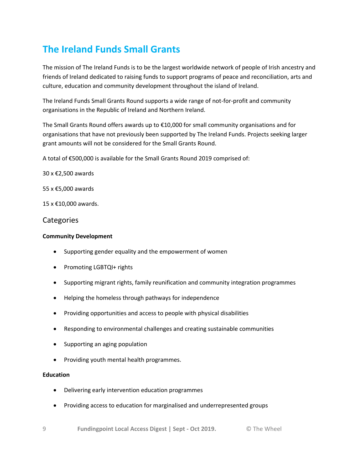# **The Ireland Funds Small Grants**

The mission of The Ireland Funds is to be the largest worldwide network of people of Irish ancestry and friends of Ireland dedicated to raising funds to support programs of peace and reconciliation, arts and culture, education and community development throughout the island of Ireland.

The Ireland Funds Small Grants Round supports a wide range of not-for-profit and community organisations in the Republic of Ireland and Northern Ireland.

The Small Grants Round offers awards up to €10,000 for small community organisations and for organisations that have not previously been supported by The Ireland Funds. Projects seeking larger grant amounts will not be considered for the Small Grants Round.

A total of €500,000 is available for the Small Grants Round 2019 comprised of:

30 x €2,500 awards

55 x €5,000 awards

15 x €10,000 awards.

#### **Categories**

#### **Community Development**

- Supporting gender equality and the empowerment of women
- Promoting LGBTQI+ rights
- Supporting migrant rights, family reunification and community integration programmes
- Helping the homeless through pathways for independence
- Providing opportunities and access to people with physical disabilities
- Responding to environmental challenges and creating sustainable communities
- Supporting an aging population
- Providing youth mental health programmes.

#### **Education**

- Delivering early intervention education programmes
- Providing access to education for marginalised and underrepresented groups
- 9 **Fundingpoint Local Access Digest | Sept - Oct 2019.** © The Wheel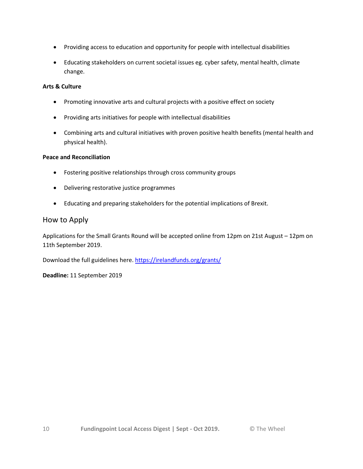- Providing access to education and opportunity for people with intellectual disabilities
- Educating stakeholders on current societal issues eg. cyber safety, mental health, climate change.

#### **Arts & Culture**

- Promoting innovative arts and cultural projects with a positive effect on society
- Providing arts initiatives for people with intellectual disabilities
- Combining arts and cultural initiatives with proven positive health benefits (mental health and physical health).

#### **Peace and Reconciliation**

- Fostering positive relationships through cross community groups
- Delivering restorative justice programmes
- Educating and preparing stakeholders for the potential implications of Brexit.

#### How to Apply

Applications for the Small Grants Round will be accepted online from 12pm on 21st August – 12pm on 11th September 2019.

Download the full guidelines here.<https://irelandfunds.org/grants/>

**Deadline:** 11 September 2019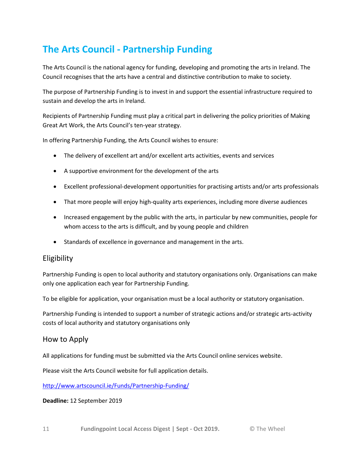# **The Arts Council - Partnership Funding**

The Arts Council is the national agency for funding, developing and promoting the arts in Ireland. The Council recognises that the arts have a central and distinctive contribution to make to society.

The purpose of Partnership Funding is to invest in and support the essential infrastructure required to sustain and develop the arts in Ireland.

Recipients of Partnership Funding must play a critical part in delivering the policy priorities of Making Great Art Work, the Arts Council's ten-year strategy.

In offering Partnership Funding, the Arts Council wishes to ensure:

- The delivery of excellent art and/or excellent arts activities, events and services
- A supportive environment for the development of the arts
- Excellent professional-development opportunities for practising artists and/or arts professionals
- That more people will enjoy high-quality arts experiences, including more diverse audiences
- Increased engagement by the public with the arts, in particular by new communities, people for whom access to the arts is difficult, and by young people and children
- Standards of excellence in governance and management in the arts.

## Eligibility

Partnership Funding is open to local authority and statutory organisations only. Organisations can make only one application each year for Partnership Funding.

To be eligible for application, your organisation must be a local authority or statutory organisation.

Partnership Funding is intended to support a number of strategic actions and/or strategic arts-activity costs of local authority and statutory organisations only

### How to Apply

All applications for funding must be submitted via the Arts Council online services website.

Please visit the Arts Council website for full application details.

<http://www.artscouncil.ie/Funds/Partnership-Funding/>

**Deadline:** 12 September 2019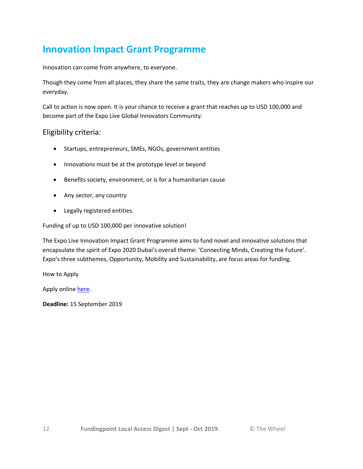## **Innovation Impact Grant Programme**

Innovation can come from anywhere, to everyone.

Though they come from all places, they share the same traits, they are change makers who inspire our everyday.

Call to action is now open. It is your chance to receive a grant that reaches up to USD 100,000 and become part of the Expo Live Global Innovators Community.

#### Eligibility criteria:

- Startups, entrepreneurs, SMEs, NGOs, government entities
- Innovations must be at the prototype level or beyond
- Benefits society, environment, or is for a humanitarian cause
- Any sector, any country
- Legally registered entities.

Funding of up to USD 100,000 per innovative solution!

The Expo Live Innovation Impact Grant Programme aims to fund novel and innovative solutions that encapsulate the spirit of Expo 2020 Dubai's overall theme: 'Connecting Minds, Creating the Future'. Expo's three subthemes, Opportunity, Mobility and Sustainability, are focus areas for funding.

How to Apply

Apply online [here.](https://www.expo2020dubai.com/en/programmes/expo-live/iigp?utm_source=SSE+newsletter&utm_campaign=2037667630-EMAIL_CAMPAIGN_2019_08_07_01_19&utm_medium=email&utm_term=0_37ebc0341a-2037667630-325498801)

**Deadline:** 15 September 2019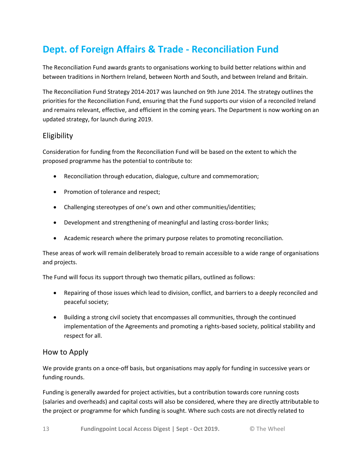# **Dept. of Foreign Affairs & Trade - Reconciliation Fund**

The Reconciliation Fund awards grants to organisations working to build better relations within and between traditions in Northern Ireland, between North and South, and between Ireland and Britain.

The Reconciliation Fund Strategy 2014-2017 was launched on 9th June 2014. The strategy outlines the priorities for the Reconciliation Fund, ensuring that the Fund supports our vision of a reconciled Ireland and remains relevant, effective, and efficient in the coming years. The Department is now working on an updated strategy, for launch during 2019.

## Eligibility

Consideration for funding from the Reconciliation Fund will be based on the extent to which the proposed programme has the potential to contribute to:

- Reconciliation through education, dialogue, culture and commemoration;
- Promotion of tolerance and respect;
- Challenging stereotypes of one's own and other communities/identities;
- Development and strengthening of meaningful and lasting cross-border links;
- Academic research where the primary purpose relates to promoting reconciliation.

These areas of work will remain deliberately broad to remain accessible to a wide range of organisations and projects.

The Fund will focus its support through two thematic pillars, outlined as follows:

- Repairing of those issues which lead to division, conflict, and barriers to a deeply reconciled and peaceful society;
- Building a strong civil society that encompasses all communities, through the continued implementation of the Agreements and promoting a rights-based society, political stability and respect for all.

## How to Apply

We provide grants on a once-off basis, but organisations may apply for funding in successive years or funding rounds.

Funding is generally awarded for project activities, but a contribution towards core running costs (salaries and overheads) and capital costs will also be considered, where they are directly attributable to the project or programme for which funding is sought. Where such costs are not directly related to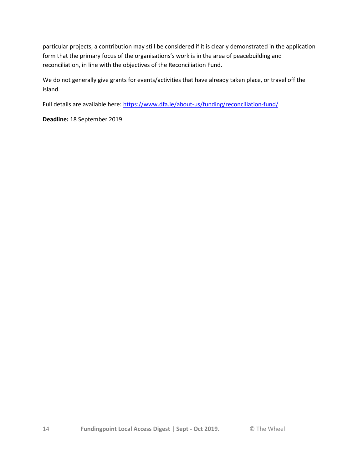particular projects, a contribution may still be considered if it is clearly demonstrated in the application form that the primary focus of the organisations's work is in the area of peacebuilding and reconciliation, in line with the objectives of the Reconciliation Fund.

We do not generally give grants for events/activities that have already taken place, or travel off the island.

Full details are available here[: https://www.dfa.ie/about-us/funding/reconciliation-fund/](https://www.dfa.ie/about-us/funding/reconciliation-fund/)

**Deadline:** 18 September 2019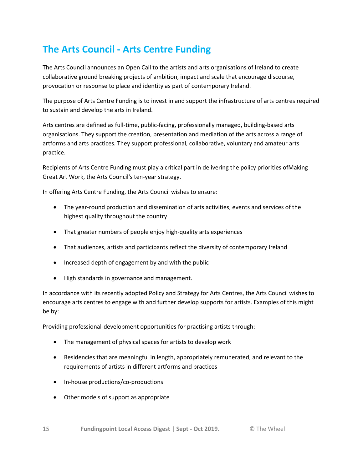# **The Arts Council - Arts Centre Funding**

The Arts Council announces an Open Call to the artists and arts organisations of Ireland to create collaborative ground breaking projects of ambition, impact and scale that encourage discourse, provocation or response to place and identity as part of contemporary Ireland.

The purpose of Arts Centre Funding is to invest in and support the infrastructure of arts centres required to sustain and develop the arts in Ireland.

Arts centres are defined as full-time, public-facing, professionally managed, building-based arts organisations. They support the creation, presentation and mediation of the arts across a range of artforms and arts practices. They support professional, collaborative, voluntary and amateur arts practice.

Recipients of Arts Centre Funding must play a critical part in delivering the policy priorities ofMaking Great Art Work, the Arts Council's ten-year strategy.

In offering Arts Centre Funding, the Arts Council wishes to ensure:

- The year-round production and dissemination of arts activities, events and services of the highest quality throughout the country
- That greater numbers of people enjoy high-quality arts experiences
- That audiences, artists and participants reflect the diversity of contemporary Ireland
- Increased depth of engagement by and with the public
- High standards in governance and management.

In accordance with its recently adopted Policy and Strategy for Arts Centres, the Arts Council wishes to encourage arts centres to engage with and further develop supports for artists. Examples of this might be by:

Providing professional-development opportunities for practising artists through:

- The management of physical spaces for artists to develop work
- Residencies that are meaningful in length, appropriately remunerated, and relevant to the requirements of artists in different artforms and practices
- In-house productions/co-productions
- Other models of support as appropriate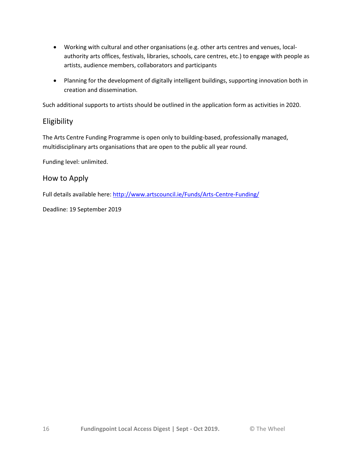- Working with cultural and other organisations (e.g. other arts centres and venues, localauthority arts offices, festivals, libraries, schools, care centres, etc.) to engage with people as artists, audience members, collaborators and participants
- Planning for the development of digitally intelligent buildings, supporting innovation both in creation and dissemination.

Such additional supports to artists should be outlined in the application form as activities in 2020.

## Eligibility

The Arts Centre Funding Programme is open only to building-based, professionally managed, multidisciplinary arts organisations that are open to the public all year round.

Funding level: unlimited.

### How to Apply

Full details available here: <http://www.artscouncil.ie/Funds/Arts-Centre-Funding/>

Deadline: 19 September 2019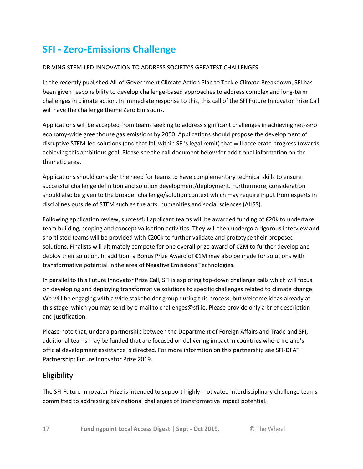# **SFI - Zero-Emissions Challenge**

#### DRIVING STEM-LED INNOVATION TO ADDRESS SOCIETY'S GREATEST CHALLENGES

In the recently published All-of-Government Climate Action Plan to Tackle Climate Breakdown, SFI has been given responsibility to develop challenge-based approaches to address complex and long-term challenges in climate action. In immediate response to this, this call of the SFI Future Innovator Prize Call will have the challenge theme Zero Emissions.

Applications will be accepted from teams seeking to address significant challenges in achieving net-zero economy-wide greenhouse gas emissions by 2050. Applications should propose the development of disruptive STEM-led solutions (and that fall within SFI's legal remit) that will accelerate progress towards achieving this ambitious goal. Please see the call document below for additional information on the thematic area.

Applications should consider the need for teams to have complementary technical skills to ensure successful challenge definition and solution development/deployment. Furthermore, consideration should also be given to the broader challenge/solution context which may require input from experts in disciplines outside of STEM such as the arts, humanities and social sciences (AHSS).

Following application review, successful applicant teams will be awarded funding of €20k to undertake team building, scoping and concept validation activities. They will then undergo a rigorous interview and shortlisted teams will be provided with €200k to further validate and prototype their proposed solutions. Finalists will ultimately compete for one overall prize award of €2M to further develop and deploy their solution. In addition, a Bonus Prize Award of €1M may also be made for solutions with transformative potential in the area of Negative Emissions Technologies.

In parallel to this Future Innovator Prize Call, SFI is exploring top-down challenge calls which will focus on developing and deploying transformative solutions to specific challenges related to climate change. We will be engaging with a wide stakeholder group during this process, but welcome ideas already at this stage, which you may send by e-mail to challenges@sfi.ie. Please provide only a brief description and justification.

Please note that, under a partnership between the Department of Foreign Affairs and Trade and SFI, additional teams may be funded that are focused on delivering impact in countries where Ireland's official development assistance is directed. For more informtion on this partnership see SFI-DFAT Partnership: Future Innovator Prize 2019.

## Eligibility

The SFI Future Innovator Prize is intended to support highly motivated interdisciplinary challenge teams committed to addressing key national challenges of transformative impact potential.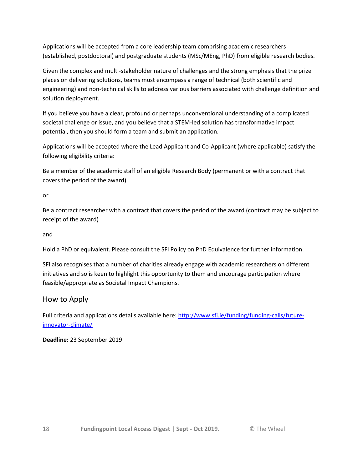Applications will be accepted from a core leadership team comprising academic researchers (established, postdoctoral) and postgraduate students (MSc/MEng, PhD) from eligible research bodies.

Given the complex and multi-stakeholder nature of challenges and the strong emphasis that the prize places on delivering solutions, teams must encompass a range of technical (both scientific and engineering) and non-technical skills to address various barriers associated with challenge definition and solution deployment.

If you believe you have a clear, profound or perhaps unconventional understanding of a complicated societal challenge or issue, and you believe that a STEM-led solution has transformative impact potential, then you should form a team and submit an application.

Applications will be accepted where the Lead Applicant and Co-Applicant (where applicable) satisfy the following eligibility criteria:

Be a member of the academic staff of an eligible Research Body (permanent or with a contract that covers the period of the award)

or

Be a contract researcher with a contract that covers the period of the award (contract may be subject to receipt of the award)

and

Hold a PhD or equivalent. Please consult the SFI Policy on PhD Equivalence for further information.

SFI also recognises that a number of charities already engage with academic researchers on different initiatives and so is keen to highlight this opportunity to them and encourage participation where feasible/appropriate as Societal Impact Champions.

## How to Apply

Full criteria and applications details available here[: http://www.sfi.ie/funding/funding-calls/future](http://www.sfi.ie/funding/funding-calls/future-innovator-climate/)[innovator-climate/](http://www.sfi.ie/funding/funding-calls/future-innovator-climate/)

**Deadline:** 23 September 2019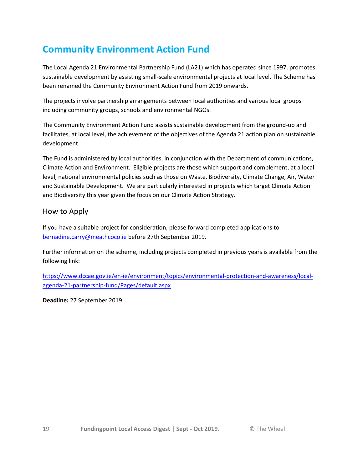# **Community Environment Action Fund**

The Local Agenda 21 Environmental Partnership Fund (LA21) which has operated since 1997, promotes sustainable development by assisting small-scale environmental projects at local level. The Scheme has been renamed the Community Environment Action Fund from 2019 onwards.

The projects involve partnership arrangements between local authorities and various local groups including community groups, schools and environmental NGOs.

The Community Environment Action Fund assists sustainable development from the ground-up and facilitates, at local level, the achievement of the objectives of the Agenda 21 action plan on sustainable development.

The Fund is administered by local authorities, in conjunction with the Department of communications, Climate Action and Environment. Eligible projects are those which support and complement, at a local level, national environmental policies such as those on Waste, Biodiversity, Climate Change, Air, Water and Sustainable Development. We are particularly interested in projects which target Climate Action and Biodiversity this year given the focus on our Climate Action Strategy.

### How to Apply

If you have a suitable project for consideration, please forward completed applications to [bernadine.carry@meathcoco.ie](mailto:bernadine.carry@meathcoco.ie) before 27th September 2019.

Further information on the scheme, including projects completed in previous years is available from the following link:

[https://www.dccae.gov.ie/en-ie/environment/topics/environmental-protection-and-awareness/local](https://www.dccae.gov.ie/en-ie/environment/topics/environmental-protection-and-awareness/local-agenda-21-partnership-fund/Pages/default.aspx)[agenda-21-partnership-fund/Pages/default.aspx](https://www.dccae.gov.ie/en-ie/environment/topics/environmental-protection-and-awareness/local-agenda-21-partnership-fund/Pages/default.aspx)

**Deadline:** 27 September 2019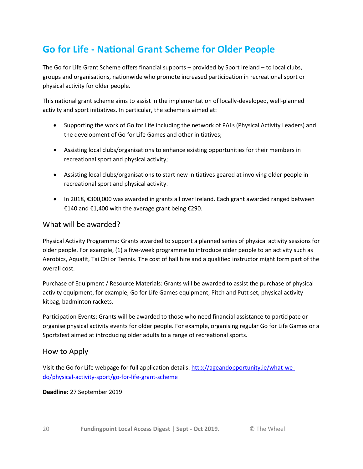# **Go for Life - National Grant Scheme for Older People**

The Go for Life Grant Scheme offers financial supports – provided by Sport Ireland – to local clubs, groups and organisations, nationwide who promote increased participation in recreational sport or physical activity for older people.

This national grant scheme aims to assist in the implementation of locally-developed, well-planned activity and sport initiatives. In particular, the scheme is aimed at:

- Supporting the work of Go for Life including the network of PALs (Physical Activity Leaders) and the development of Go for Life Games and other initiatives;
- Assisting local clubs/organisations to enhance existing opportunities for their members in recreational sport and physical activity;
- Assisting local clubs/organisations to start new initiatives geared at involving older people in recreational sport and physical activity.
- In 2018, €300,000 was awarded in grants all over Ireland. Each grant awarded ranged between €140 and €1,400 with the average grant being €290.

## What will be awarded?

Physical Activity Programme: Grants awarded to support a planned series of physical activity sessions for older people. For example, (1) a five-week programme to introduce older people to an activity such as Aerobics, Aquafit, Tai Chi or Tennis. The cost of hall hire and a qualified instructor might form part of the overall cost.

Purchase of Equipment / Resource Materials: Grants will be awarded to assist the purchase of physical activity equipment, for example, Go for Life Games equipment, Pitch and Putt set, physical activity kitbag, badminton rackets.

Participation Events: Grants will be awarded to those who need financial assistance to participate or organise physical activity events for older people. For example, organising regular Go for Life Games or a Sportsfest aimed at introducing older adults to a range of recreational sports.

## How to Apply

Visit the Go for Life webpage for full application details: [http://ageandopportunity.ie/what-we](http://ageandopportunity.ie/what-we-do/physical-activity-sport/go-for-life-grant-scheme)[do/physical-activity-sport/go-for-life-grant-scheme](http://ageandopportunity.ie/what-we-do/physical-activity-sport/go-for-life-grant-scheme)

#### **Deadline:** 27 September 2019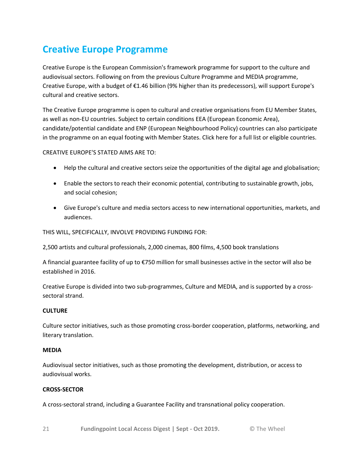# **Creative Europe Programme**

Creative Europe is the European Commission's framework programme for support to the culture and audiovisual sectors. Following on from the previous Culture Programme and MEDIA programme, Creative Europe, with a budget of €1.46 billion (9% higher than its predecessors), will support Europe's cultural and creative sectors.

The Creative Europe programme is open to cultural and creative organisations from EU Member States, as well as non-EU countries. Subject to certain conditions EEA (European Economic Area), candidate/potential candidate and ENP (European Neighbourhood Policy) countries can also participate in the programme on an equal footing with Member States. Click here for a full list or eligible countries.

#### CREATIVE EUROPE'S STATED AIMS ARE TO:

- Help the cultural and creative sectors seize the opportunities of the digital age and globalisation;
- Enable the sectors to reach their economic potential, contributing to sustainable growth, jobs, and social cohesion;
- Give Europe's culture and media sectors access to new international opportunities, markets, and audiences.

THIS WILL, SPECIFICALLY, INVOLVE PROVIDING FUNDING FOR:

2,500 artists and cultural professionals, 2,000 cinemas, 800 films, 4,500 book translations

A financial guarantee facility of up to €750 million for small businesses active in the sector will also be established in 2016.

Creative Europe is divided into two sub-programmes, Culture and MEDIA, and is supported by a crosssectoral strand.

#### **CULTURE**

Culture sector initiatives, such as those promoting cross-border cooperation, platforms, networking, and literary translation.

#### **MEDIA**

Audiovisual sector initiatives, such as those promoting the development, distribution, or access to audiovisual works.

#### **CROSS-SECTOR**

A cross-sectoral strand, including a Guarantee Facility and transnational policy cooperation.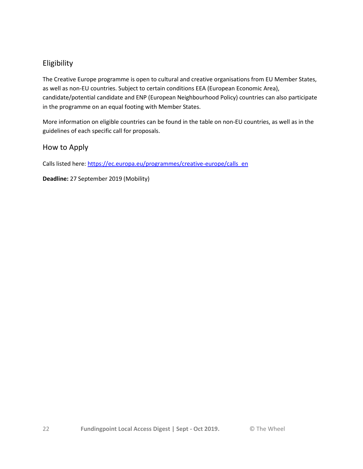## Eligibility

The Creative Europe programme is open to cultural and creative organisations from EU Member States, as well as non-EU countries. Subject to certain conditions EEA (European Economic Area), candidate/potential candidate and ENP (European Neighbourhood Policy) countries can also participate in the programme on an equal footing with Member States.

More information on eligible countries can be found in the table on non-EU countries, as well as in the guidelines of each specific call for proposals.

## How to Apply

Calls listed here[: https://ec.europa.eu/programmes/creative-europe/calls\\_en](https://ec.europa.eu/programmes/creative-europe/calls_en)

**Deadline:** 27 September 2019 (Mobility)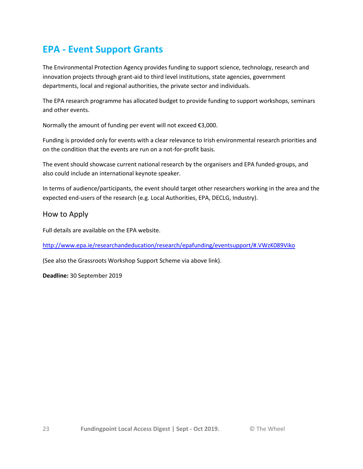## **EPA - Event Support Grants**

The Environmental Protection Agency provides funding to support science, technology, research and innovation projects through grant-aid to third level institutions, state agencies, government departments, local and regional authorities, the private sector and individuals.

The EPA research programme has allocated budget to provide funding to support workshops, seminars and other events.

Normally the amount of funding per event will not exceed €3,000.

Funding is provided only for events with a clear relevance to Irish environmental research priorities and on the condition that the events are run on a not-for-profit basis.

The event should showcase current national research by the organisers and EPA funded-groups, and also could include an international keynote speaker.

In terms of audience/participants, the event should target other researchers working in the area and the expected end-users of the research (e.g. Local Authorities, EPA, DECLG, Industry).

### How to Apply

Full details are available on the EPA website.

<http://www.epa.ie/researchandeducation/research/epafunding/eventsupport/#.VWzK089Viko>

(See also the Grassroots Workshop Support Scheme via above link).

**Deadline:** 30 September 2019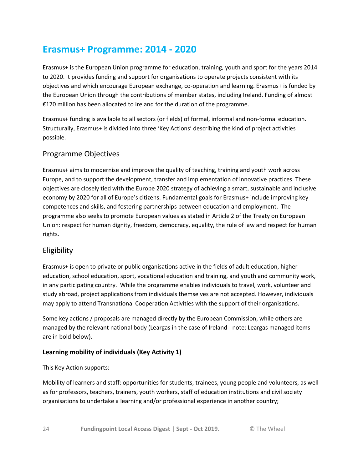## **Erasmus+ Programme: 2014 - 2020**

Erasmus+ is the European Union programme for education, training, youth and sport for the years 2014 to 2020. It provides funding and support for organisations to operate projects consistent with its objectives and which encourage European exchange, co-operation and learning. Erasmus+ is funded by the European Union through the contributions of member states, including Ireland. Funding of almost €170 million has been allocated to Ireland for the duration of the programme.

Erasmus+ funding is available to all sectors (or fields) of formal, informal and non-formal education. Structurally, Erasmus+ is divided into three 'Key Actions' describing the kind of project activities possible.

## Programme Objectives

Erasmus+ aims to modernise and improve the quality of teaching, training and youth work across Europe, and to support the development, transfer and implementation of innovative practices. These objectives are closely tied with the Europe 2020 strategy of achieving a smart, sustainable and inclusive economy by 2020 for all of Europe's citizens. Fundamental goals for Erasmus+ include improving key competences and skills, and fostering partnerships between education and employment. The programme also seeks to promote European values as stated in Article 2 of the Treaty on European Union: respect for human dignity, freedom, democracy, equality, the rule of law and respect for human rights.

## Eligibility

Erasmus+ is open to private or public organisations active in the fields of adult education, higher education, school education, sport, vocational education and training, and youth and community work, in any participating country. While the programme enables individuals to travel, work, volunteer and study abroad, project applications from individuals themselves are not accepted. However, individuals may apply to attend Transnational Cooperation Activities with the support of their organisations.

Some key actions / proposals are managed directly by the European Commission, while others are managed by the relevant national body (Leargas in the case of Ireland - note: Leargas managed items are in bold below).

### **Learning mobility of individuals (Key Activity 1)**

This Key Action supports:

Mobility of learners and staff: opportunities for students, trainees, young people and volunteers, as well as for professors, teachers, trainers, youth workers, staff of education institutions and civil society organisations to undertake a learning and/or professional experience in another country;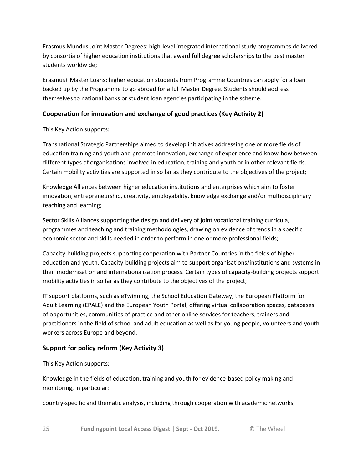Erasmus Mundus Joint Master Degrees: high-level integrated international study programmes delivered by consortia of higher education institutions that award full degree scholarships to the best master students worldwide;

Erasmus+ Master Loans: higher education students from Programme Countries can apply for a loan backed up by the Programme to go abroad for a full Master Degree. Students should address themselves to national banks or student loan agencies participating in the scheme.

### **Cooperation for innovation and exchange of good practices (Key Activity 2)**

This Key Action supports:

Transnational Strategic Partnerships aimed to develop initiatives addressing one or more fields of education training and youth and promote innovation, exchange of experience and know-how between different types of organisations involved in education, training and youth or in other relevant fields. Certain mobility activities are supported in so far as they contribute to the objectives of the project;

Knowledge Alliances between higher education institutions and enterprises which aim to foster innovation, entrepreneurship, creativity, employability, knowledge exchange and/or multidisciplinary teaching and learning;

Sector Skills Alliances supporting the design and delivery of joint vocational training curricula, programmes and teaching and training methodologies, drawing on evidence of trends in a specific economic sector and skills needed in order to perform in one or more professional fields;

Capacity-building projects supporting cooperation with Partner Countries in the fields of higher education and youth. Capacity-building projects aim to support organisations/institutions and systems in their modernisation and internationalisation process. Certain types of capacity-building projects support mobility activities in so far as they contribute to the objectives of the project;

IT support platforms, such as eTwinning, the School Education Gateway, the European Platform for Adult Learning (EPALE) and the European Youth Portal, offering virtual collaboration spaces, databases of opportunities, communities of practice and other online services for teachers, trainers and practitioners in the field of school and adult education as well as for young people, volunteers and youth workers across Europe and beyond.

### **Support for policy reform (Key Activity 3)**

This Key Action supports:

Knowledge in the fields of education, training and youth for evidence-based policy making and monitoring, in particular:

country-specific and thematic analysis, including through cooperation with academic networks;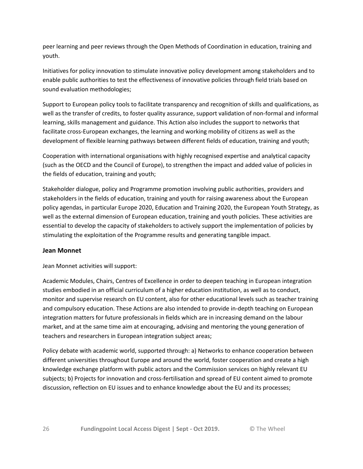peer learning and peer reviews through the Open Methods of Coordination in education, training and youth.

Initiatives for policy innovation to stimulate innovative policy development among stakeholders and to enable public authorities to test the effectiveness of innovative policies through field trials based on sound evaluation methodologies;

Support to European policy tools to facilitate transparency and recognition of skills and qualifications, as well as the transfer of credits, to foster quality assurance, support validation of non-formal and informal learning, skills management and guidance. This Action also includes the support to networks that facilitate cross-European exchanges, the learning and working mobility of citizens as well as the development of flexible learning pathways between different fields of education, training and youth;

Cooperation with international organisations with highly recognised expertise and analytical capacity (such as the OECD and the Council of Europe), to strengthen the impact and added value of policies in the fields of education, training and youth;

Stakeholder dialogue, policy and Programme promotion involving public authorities, providers and stakeholders in the fields of education, training and youth for raising awareness about the European policy agendas, in particular Europe 2020, Education and Training 2020, the European Youth Strategy, as well as the external dimension of European education, training and youth policies. These activities are essential to develop the capacity of stakeholders to actively support the implementation of policies by stimulating the exploitation of the Programme results and generating tangible impact.

#### **Jean Monnet**

Jean Monnet activities will support:

Academic Modules, Chairs, Centres of Excellence in order to deepen teaching in European integration studies embodied in an official curriculum of a higher education institution, as well as to conduct, monitor and supervise research on EU content, also for other educational levels such as teacher training and compulsory education. These Actions are also intended to provide in-depth teaching on European integration matters for future professionals in fields which are in increasing demand on the labour market, and at the same time aim at encouraging, advising and mentoring the young generation of teachers and researchers in European integration subject areas;

Policy debate with academic world, supported through: a) Networks to enhance cooperation between different universities throughout Europe and around the world, foster cooperation and create a high knowledge exchange platform with public actors and the Commission services on highly relevant EU subjects; b) Projects for innovation and cross-fertilisation and spread of EU content aimed to promote discussion, reflection on EU issues and to enhance knowledge about the EU and its processes;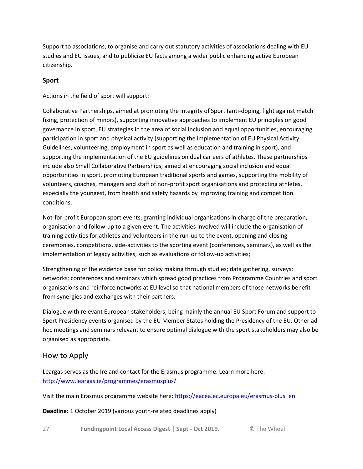Support to associations, to organise and carry out statutory activities of associations dealing with EU studies and EU issues, and to publicize EU facts among a wider public enhancing active European citizenship.

#### **Sport**

Actions in the field of sport will support:

Collaborative Partnerships, aimed at promoting the integrity of Sport (anti-doping, fight against match fixing, protection of minors), supporting innovative approaches to implement EU principles on good governance in sport, EU strategies in the area of social inclusion and equal opportunities, encouraging participation in sport and physical activity (supporting the implementation of EU Physical Activity Guidelines, volunteering, employment in sport as well as education and training in sport), and supporting the implementation of the EU guidelines on dual car eers of athletes. These partnerships include also Small Collaborative Partnerships, aimed at encouraging social inclusion and equal opportunities in sport, promoting European traditional sports and games, supporting the mobility of volunteers, coaches, managers and staff of non-profit sport organisations and protecting athletes, especially the youngest, from health and safety hazards by improving training and competition conditions.

Not-for-profit European sport events, granting individual organisations in charge of the preparation, organisation and follow-up to a given event. The activities involved will include the organisation of training activities for athletes and volunteers in the run-up to the event, opening and closing ceremonies, competitions, side-activities to the sporting event (conferences, seminars), as well as the implementation of legacy activities, such as evaluations or follow-up activities;

Strengthening of the evidence base for policy making through studies; data gathering, surveys; networks; conferences and seminars which spread good practices from Programme Countries and sport organisations and reinforce networks at EU level so that national members of those networks benefit from synergies and exchanges with their partners;

Dialogue with relevant European stakeholders, being mainly the annual EU Sport Forum and support to Sport Presidency events organised by the EU Member States holding the Presidency of the EU. Other ad hoc meetings and seminars relevant to ensure optimal dialogue with the sport stakeholders may also be organised as appropriate.

## How to Apply

Leargas serves as the Ireland contact for the Erasmus programme. Learn more here: <http://www.leargas.ie/programmes/erasmusplus/>

Visit the main Erasmus programme website here: [https://eacea.ec.europa.eu/erasmus-plus\\_en](https://eacea.ec.europa.eu/erasmus-plus_en)

**Deadline:** 1 October 2019 (various youth-related deadlines apply)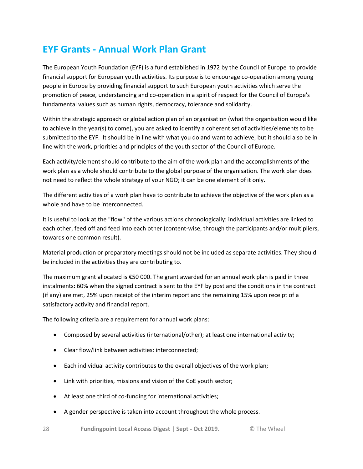## **EYF Grants - Annual Work Plan Grant**

The European Youth Foundation (EYF) is a fund established in 1972 by the Council of Europe to provide financial support for European youth activities. Its purpose is to encourage co-operation among young people in Europe by providing financial support to such European youth activities which serve the promotion of peace, understanding and co-operation in a spirit of respect for the Council of Europe's fundamental values such as human rights, democracy, tolerance and solidarity.

Within the strategic approach or global action plan of an organisation (what the organisation would like to achieve in the year(s) to come), you are asked to identify a coherent set of activities/elements to be submitted to the EYF. It should be in line with what you do and want to achieve, but it should also be in line with the work, priorities and principles of the youth sector of the Council of Europe.

Each activity/element should contribute to the aim of the work plan and the accomplishments of the work plan as a whole should contribute to the global purpose of the organisation. The work plan does not need to reflect the whole strategy of your NGO; it can be one element of it only.

The different activities of a work plan have to contribute to achieve the objective of the work plan as a whole and have to be interconnected.

It is useful to look at the "flow" of the various actions chronologically: individual activities are linked to each other, feed off and feed into each other (content-wise, through the participants and/or multipliers, towards one common result).

Material production or preparatory meetings should not be included as separate activities. They should be included in the activities they are contributing to.

The maximum grant allocated is €50 000. The grant awarded for an annual work plan is paid in three instalments: 60% when the signed contract is sent to the EYF by post and the conditions in the contract (if any) are met, 25% upon receipt of the interim report and the remaining 15% upon receipt of a satisfactory activity and financial report.

The following criteria are a requirement for annual work plans:

- Composed by several activities (international/other); at least one international activity;
- Clear flow/link between activities: interconnected;
- Each individual activity contributes to the overall objectives of the work plan;
- Link with priorities, missions and vision of the CoE youth sector;
- At least one third of co-funding for international activities;
- A gender perspective is taken into account throughout the whole process.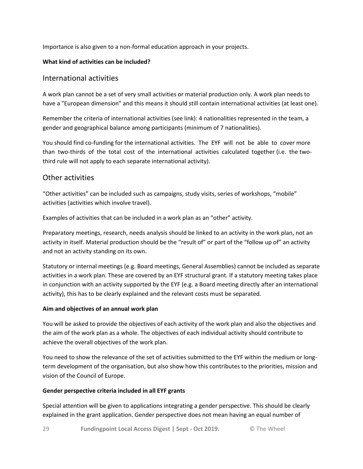Importance is also given to a non-formal education approach in your projects.

#### **What kind of activities can be included?**

### International activities

A work plan cannot be a set of very small activities or material production only. A work plan needs to have a "European dimension" and this means it should still contain international activities (at least one).

Remember the criteria of international activities (see link): 4 nationalities represented in the team, a gender and geographical balance among participants (minimum of 7 nationalities).

You should find co-funding for the international activities. The EYF will not be able to cover more than two-thirds of the total cost of the international activities calculated together (i.e. the twothird rule will not apply to each separate international activity).

### Other activities

"Other activities" can be included such as campaigns, study visits, series of workshops, "mobile" activities (activities which involve travel).

Examples of activities that can be included in a work plan as an "other" activity.

Preparatory meetings, research, needs analysis should be linked to an activity in the work plan, not an activity in itself. Material production should be the "result of" or part of the "follow up of" an activity and not an activity standing on its own.

Statutory or internal meetings (e.g. Board meetings, General Assemblies) cannot be included as separate activities in a work plan. These are covered by an EYF structural grant. If a statutory meeting takes place in conjunction with an activity supported by the EYF (e.g. a Board meeting directly after an international activity), this has to be clearly explained and the relevant costs must be separated.

#### **Aim and objectives of an annual work plan**

You will be asked to provide the objectives of each activity of the work plan and also the objectives and the aim of the work plan as a whole. The objectives of each individual activity should contribute to achieve the overall objectives of the work plan.

You need to show the relevance of the set of activities submitted to the EYF within the medium or longterm development of the organisation, but also show how this contributes to the priorities, mission and vision of the Council of Europe.

#### **Gender perspective criteria included in all EYF grants**

Special attention will be given to applications integrating a gender perspective. This should be clearly explained in the grant application. Gender perspective does not mean having an equal number of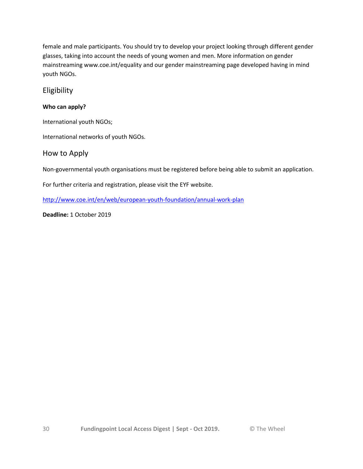female and male participants. You should try to develop your project looking through different gender glasses, taking into account the needs of young women and men. More information on gender mainstreaming www.coe.int/equality and our gender mainstreaming page developed having in mind youth NGOs.

## Eligibility

### **Who can apply?**

International youth NGOs;

International networks of youth NGOs.

## How to Apply

Non-governmental youth organisations must be registered before being able to submit an application.

For further criteria and registration, please visit the EYF website.

<http://www.coe.int/en/web/european-youth-foundation/annual-work-plan>

**Deadline:** 1 October 2019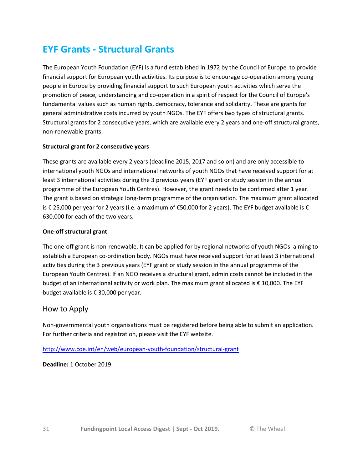## **EYF Grants - Structural Grants**

The European Youth Foundation (EYF) is a fund established in 1972 by the Council of Europe to provide financial support for European youth activities. Its purpose is to encourage co-operation among young people in Europe by providing financial support to such European youth activities which serve the promotion of peace, understanding and co-operation in a spirit of respect for the Council of Europe's fundamental values such as human rights, democracy, tolerance and solidarity. These are grants for general administrative costs incurred by youth NGOs. The EYF offers two types of structural grants. Structural grants for 2 consecutive years, which are available every 2 years and one-off structural grants, non-renewable grants.

#### **Structural grant for 2 consecutive years**

These grants are available every 2 years (deadline 2015, 2017 and so on) and are only accessible to international youth NGOs and international networks of youth NGOs that have received support for at least 3 international activities during the 3 previous years (EYF grant or study session in the annual programme of the European Youth Centres). However, the grant needs to be confirmed after 1 year. The grant is based on strategic long-term programme of the organisation. The maximum grant allocated is € 25,000 per year for 2 years (i.e. a maximum of €50,000 for 2 years). The EYF budget available is € 630,000 for each of the two years.

#### **One-off structural grant**

The one-off grant is non-renewable. It can be applied for by regional networks of youth NGOs aiming to establish a European co-ordination body. NGOs must have received support for at least 3 international activities during the 3 previous years (EYF grant or study session in the annual programme of the European Youth Centres). If an NGO receives a structural grant, admin costs cannot be included in the budget of an international activity or work plan. The maximum grant allocated is € 10,000. The EYF budget available is € 30,000 per year.

### How to Apply

Non-governmental youth organisations must be registered before being able to submit an application. For further criteria and registration, please visit the EYF website.

#### <http://www.coe.int/en/web/european-youth-foundation/structural-grant>

**Deadline:** 1 October 2019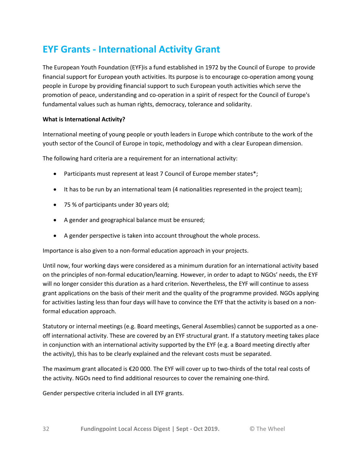## **EYF Grants - International Activity Grant**

The European Youth Foundation (EYF)is a fund established in 1972 by the Council of Europe to provide financial support for European youth activities. Its purpose is to encourage co-operation among young people in Europe by providing financial support to such European youth activities which serve the promotion of peace, understanding and co-operation in a spirit of respect for the Council of Europe's fundamental values such as human rights, democracy, tolerance and solidarity.

#### **What is International Activity?**

International meeting of young people or youth leaders in Europe which contribute to the work of the youth sector of the Council of Europe in topic, methodology and with a clear European dimension.

The following hard criteria are a requirement for an international activity:

- Participants must represent at least 7 Council of Europe member states\*;
- It has to be run by an international team (4 nationalities represented in the project team);
- 75 % of participants under 30 years old;
- A gender and geographical balance must be ensured;
- A gender perspective is taken into account throughout the whole process.

Importance is also given to a non-formal education approach in your projects.

Until now, four working days were considered as a minimum duration for an international activity based on the principles of non-formal education/learning. However, in order to adapt to NGOs' needs, the EYF will no longer consider this duration as a hard criterion. Nevertheless, the EYF will continue to assess grant applications on the basis of their merit and the quality of the programme provided. NGOs applying for activities lasting less than four days will have to convince the EYF that the activity is based on a nonformal education approach.

Statutory or internal meetings (e.g. Board meetings, General Assemblies) cannot be supported as a oneoff international activity. These are covered by an EYF structural grant. If a statutory meeting takes place in conjunction with an international activity supported by the EYF (e.g. a Board meeting directly after the activity), this has to be clearly explained and the relevant costs must be separated.

The maximum grant allocated is €20 000. The EYF will cover up to two-thirds of the total real costs of the activity. NGOs need to find additional resources to cover the remaining one-third.

Gender perspective criteria included in all EYF grants.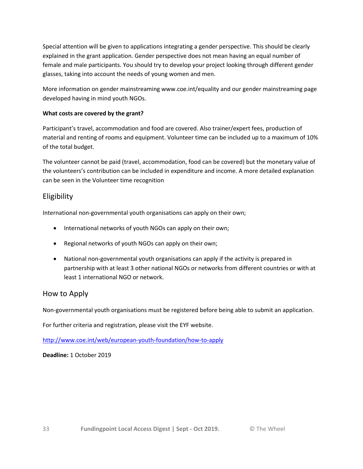Special attention will be given to applications integrating a gender perspective. This should be clearly explained in the grant application. Gender perspective does not mean having an equal number of female and male participants. You should try to develop your project looking through different gender glasses, taking into account the needs of young women and men.

More information on gender mainstreaming www.coe.int/equality and our gender mainstreaming page developed having in mind youth NGOs.

#### **What costs are covered by the grant?**

Participant's travel, accommodation and food are covered. Also trainer/expert fees, production of material and renting of rooms and equipment. Volunteer time can be included up to a maximum of 10% of the total budget.

The volunteer cannot be paid (travel, accommodation, food can be covered) but the monetary value of the volunteers's contribution can be included in expenditure and income. A more detailed explanation can be seen in the Volunteer time recognition

## Eligibility

International non-governmental youth organisations can apply on their own;

- International networks of youth NGOs can apply on their own;
- Regional networks of youth NGOs can apply on their own;
- National non-governmental youth organisations can apply if the activity is prepared in partnership with at least 3 other national NGOs or networks from different countries or with at least 1 international NGO or network.

### How to Apply

Non-governmental youth organisations must be registered before being able to submit an application.

For further criteria and registration, please visit the EYF website.

<http://www.coe.int/web/european-youth-foundation/how-to-apply>

**Deadline:** 1 October 2019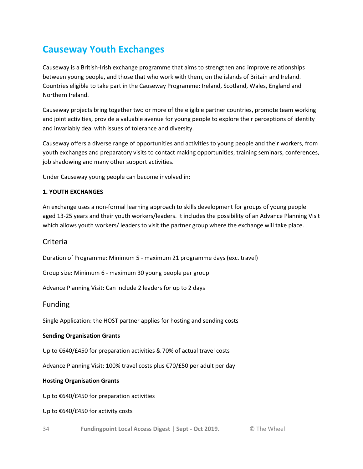# **Causeway Youth Exchanges**

Causeway is a British-Irish exchange programme that aims to strengthen and improve relationships between young people, and those that who work with them, on the islands of Britain and Ireland. Countries eligible to take part in the Causeway Programme: Ireland, Scotland, Wales, England and Northern Ireland.

Causeway projects bring together two or more of the eligible partner countries, promote team working and joint activities, provide a valuable avenue for young people to explore their perceptions of identity and invariably deal with issues of tolerance and diversity.

Causeway offers a diverse range of opportunities and activities to young people and their workers, from youth exchanges and preparatory visits to contact making opportunities, training seminars, conferences, job shadowing and many other support activities.

Under Causeway young people can become involved in:

#### **1. YOUTH EXCHANGES**

An exchange uses a non-formal learning approach to skills development for groups of young people aged 13-25 years and their youth workers/leaders. It includes the possibility of an Advance Planning Visit which allows youth workers/ leaders to visit the partner group where the exchange will take place.

### Criteria

Duration of Programme: Minimum 5 - maximum 21 programme days (exc. travel)

Group size: Minimum 6 - maximum 30 young people per group

Advance Planning Visit: Can include 2 leaders for up to 2 days

### Funding

Single Application: the HOST partner applies for hosting and sending costs

#### **Sending Organisation Grants**

Up to €640/£450 for preparation activities & 70% of actual travel costs

Advance Planning Visit: 100% travel costs plus €70/£50 per adult per day

#### **Hosting Organisation Grants**

Up to €640/£450 for preparation activities

Up to €640/£450 for activity costs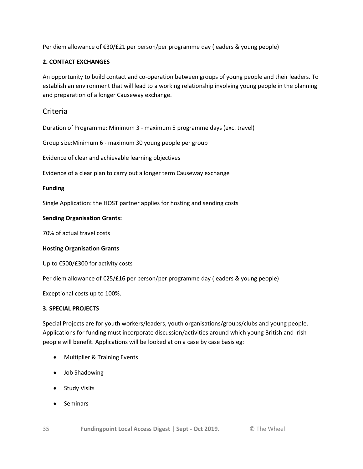Per diem allowance of €30/£21 per person/per programme day (leaders & young people)

#### **2. CONTACT EXCHANGES**

An opportunity to build contact and co-operation between groups of young people and their leaders. To establish an environment that will lead to a working relationship involving young people in the planning and preparation of a longer Causeway exchange.

### Criteria

Duration of Programme: Minimum 3 - maximum 5 programme days (exc. travel)

Group size:Minimum 6 - maximum 30 young people per group

Evidence of clear and achievable learning objectives

Evidence of a clear plan to carry out a longer term Causeway exchange

#### **Funding**

Single Application: the HOST partner applies for hosting and sending costs

#### **Sending Organisation Grants:**

70% of actual travel costs

#### **Hosting Organisation Grants**

Up to €500/£300 for activity costs

Per diem allowance of €25/£16 per person/per programme day (leaders & young people)

Exceptional costs up to 100%.

#### **3. SPECIAL PROJECTS**

Special Projects are for youth workers/leaders, youth organisations/groups/clubs and young people. Applications for funding must incorporate discussion/activities around which young British and Irish people will benefit. Applications will be looked at on a case by case basis eg:

- Multiplier & Training Events
- Job Shadowing
- Study Visits
- Seminars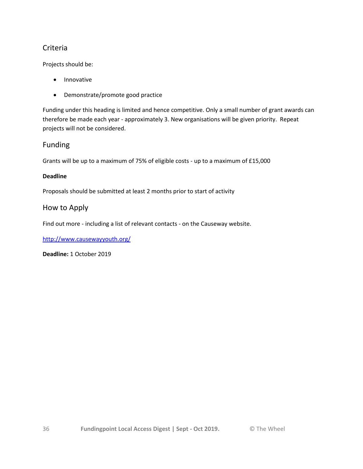## Criteria

Projects should be:

- Innovative
- Demonstrate/promote good practice

Funding under this heading is limited and hence competitive. Only a small number of grant awards can therefore be made each year - approximately 3. New organisations will be given priority. Repeat projects will not be considered.

### Funding

Grants will be up to a maximum of 75% of eligible costs - up to a maximum of £15,000

#### **Deadline**

Proposals should be submitted at least 2 months prior to start of activity

### How to Apply

Find out more - including a list of relevant contacts - on the Causeway website.

<http://www.causewayyouth.org/>

**Deadline:** 1 October 2019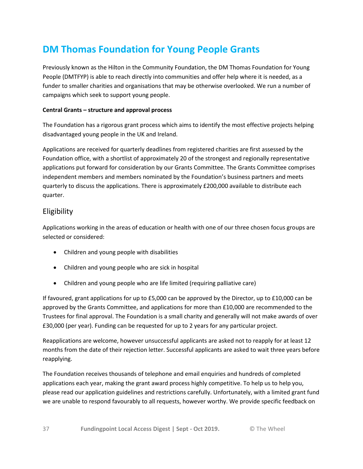# **DM Thomas Foundation for Young People Grants**

Previously known as the Hilton in the Community Foundation, the DM Thomas Foundation for Young People (DMTFYP) is able to reach directly into communities and offer help where it is needed, as a funder to smaller charities and organisations that may be otherwise overlooked. We run a number of campaigns which seek to support young people.

#### **Central Grants – structure and approval process**

The Foundation has a rigorous grant process which aims to identify the most effective projects helping disadvantaged young people in the UK and Ireland.

Applications are received for quarterly deadlines from registered charities are first assessed by the Foundation office, with a shortlist of approximately 20 of the strongest and regionally representative applications put forward for consideration by our Grants Committee. The Grants Committee comprises independent members and members nominated by the Foundation's business partners and meets quarterly to discuss the applications. There is approximately £200,000 available to distribute each quarter.

## Eligibility

Applications working in the areas of education or health with one of our three chosen focus groups are selected or considered:

- Children and young people with disabilities
- Children and young people who are sick in hospital
- Children and young people who are life limited (requiring palliative care)

If favoured, grant applications for up to £5,000 can be approved by the Director, up to £10,000 can be approved by the Grants Committee, and applications for more than £10,000 are recommended to the Trustees for final approval. The Foundation is a small charity and generally will not make awards of over £30,000 (per year). Funding can be requested for up to 2 years for any particular project.

Reapplications are welcome, however unsuccessful applicants are asked not to reapply for at least 12 months from the date of their rejection letter. Successful applicants are asked to wait three years before reapplying.

The Foundation receives thousands of telephone and email enquiries and hundreds of completed applications each year, making the grant award process highly competitive. To help us to help you, please read our application guidelines and restrictions carefully. Unfortunately, with a limited grant fund we are unable to respond favourably to all requests, however worthy. We provide specific feedback on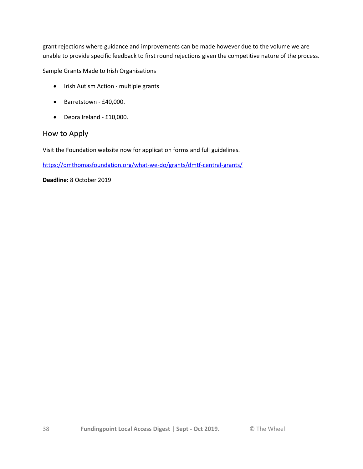grant rejections where guidance and improvements can be made however due to the volume we are unable to provide specific feedback to first round rejections given the competitive nature of the process.

Sample Grants Made to Irish Organisations

- Irish Autism Action multiple grants
- Barretstown £40,000.
- Debra Ireland £10,000.

### How to Apply

Visit the Foundation website now for application forms and full guidelines.

<https://dmthomasfoundation.org/what-we-do/grants/dmtf-central-grants/>

**Deadline:** 8 October 2019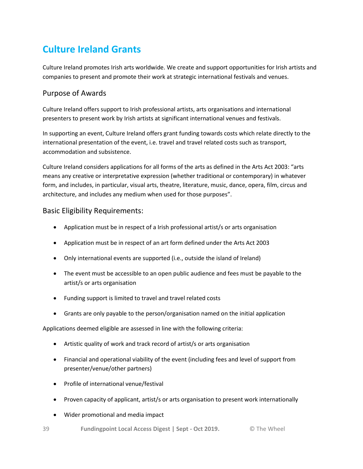# **Culture Ireland Grants**

Culture Ireland promotes Irish arts worldwide. We create and support opportunities for Irish artists and companies to present and promote their work at strategic international festivals and venues.

## Purpose of Awards

Culture Ireland offers support to Irish professional artists, arts organisations and international presenters to present work by Irish artists at significant international venues and festivals.

In supporting an event, Culture Ireland offers grant funding towards costs which relate directly to the international presentation of the event, i.e. travel and travel related costs such as transport, accommodation and subsistence.

Culture Ireland considers applications for all forms of the arts as defined in the Arts Act 2003: "arts means any creative or interpretative expression (whether traditional or contemporary) in whatever form, and includes, in particular, visual arts, theatre, literature, music, dance, opera, film, circus and architecture, and includes any medium when used for those purposes".

## Basic Eligibility Requirements:

- Application must be in respect of a Irish professional artist/s or arts organisation
- Application must be in respect of an art form defined under the Arts Act 2003
- Only international events are supported (i.e., outside the island of Ireland)
- The event must be accessible to an open public audience and fees must be payable to the artist/s or arts organisation
- Funding support is limited to travel and travel related costs
- Grants are only payable to the person/organisation named on the initial application

Applications deemed eligible are assessed in line with the following criteria:

- Artistic quality of work and track record of artist/s or arts organisation
- Financial and operational viability of the event (including fees and level of support from presenter/venue/other partners)
- Profile of international venue/festival
- Proven capacity of applicant, artist/s or arts organisation to present work internationally
- Wider promotional and media impact
- 39 **Fundingpoint Local Access Digest | Sept - Oct 2019.** © The Wheel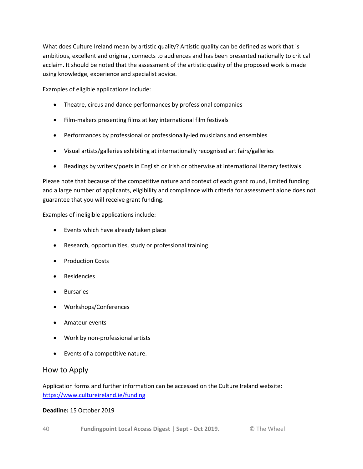What does Culture Ireland mean by artistic quality? Artistic quality can be defined as work that is ambitious, excellent and original, connects to audiences and has been presented nationally to critical acclaim. It should be noted that the assessment of the artistic quality of the proposed work is made using knowledge, experience and specialist advice.

Examples of eligible applications include:

- Theatre, circus and dance performances by professional companies
- Film-makers presenting films at key international film festivals
- Performances by professional or professionally-led musicians and ensembles
- Visual artists/galleries exhibiting at internationally recognised art fairs/galleries
- Readings by writers/poets in English or Irish or otherwise at international literary festivals

Please note that because of the competitive nature and context of each grant round, limited funding and a large number of applicants, eligibility and compliance with criteria for assessment alone does not guarantee that you will receive grant funding.

Examples of ineligible applications include:

- Events which have already taken place
- Research, opportunities, study or professional training
- Production Costs
- Residencies
- **•** Bursaries
- Workshops/Conferences
- Amateur events
- Work by non-professional artists
- Events of a competitive nature.

### How to Apply

Application forms and further information can be accessed on the Culture Ireland website: <https://www.cultureireland.ie/funding>

#### **Deadline:** 15 October 2019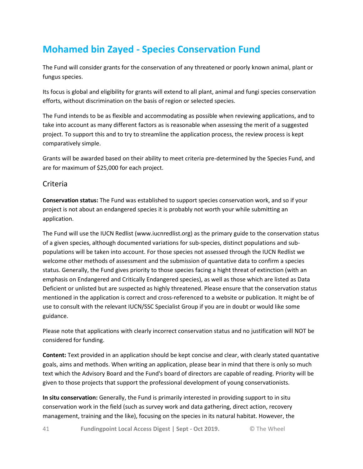# **Mohamed bin Zayed - Species Conservation Fund**

The Fund will consider grants for the conservation of any threatened or poorly known animal, plant or fungus species.

Its focus is global and eligibility for grants will extend to all plant, animal and fungi species conservation efforts, without discrimination on the basis of region or selected species.

The Fund intends to be as flexible and accommodating as possible when reviewing applications, and to take into account as many different factors as is reasonable when assessing the merit of a suggested project. To support this and to try to streamline the application process, the review process is kept comparatively simple.

Grants will be awarded based on their ability to meet criteria pre-determined by the Species Fund, and are for maximum of \$25,000 for each project.

### Criteria

**Conservation status:** The Fund was established to support species conservation work, and so if your project is not about an endangered species it is probably not worth your while submitting an application.

The Fund will use the IUCN Redlist (www.iucnredlist.org) as the primary guide to the conservation status of a given species, although documented variations for sub-species, distinct populations and subpopulations will be taken into account. For those species not assessed through the IUCN Redlist we welcome other methods of assessment and the submission of quantative data to confirm a species status. Generally, the Fund gives priority to those species facing a hight threat of extinction (with an emphasis on Endangered and Critically Endangered species), as well as those which are listed as Data Deficient or unlisted but are suspected as highly threatened. Please ensure that the conservation status mentioned in the application is correct and cross-referenced to a website or publication. It might be of use to consult with the relevant IUCN/SSC Specialist Group if you are in doubt or would like some guidance.

Please note that applications with clearly incorrect conservation status and no justification will NOT be considered for funding.

**Content:** Text provided in an application should be kept concise and clear, with clearly stated quantative goals, aims and methods. When writing an application, please bear in mind that there is only so much text which the Advisory Board and the Fund's board of directors are capable of reading. Priority will be given to those projects that support the professional development of young conservationists.

**In situ conservation:** Generally, the Fund is primarily interested in providing support to in situ conservation work in the field (such as survey work and data gathering, direct action, recovery management, training and the like), focusing on the species in its natural habitat. However, the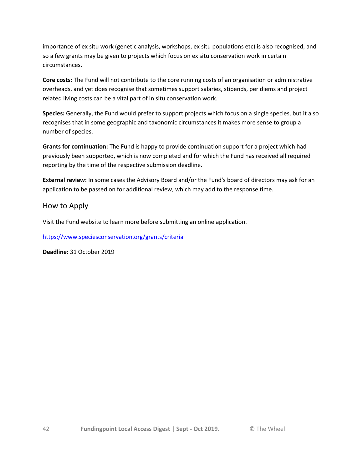importance of ex situ work (genetic analysis, workshops, ex situ populations etc) is also recognised, and so a few grants may be given to projects which focus on ex situ conservation work in certain circumstances.

**Core costs:** The Fund will not contribute to the core running costs of an organisation or administrative overheads, and yet does recognise that sometimes support salaries, stipends, per diems and project related living costs can be a vital part of in situ conservation work.

**Species:** Generally, the Fund would prefer to support projects which focus on a single species, but it also recognises that in some geographic and taxonomic circumstances it makes more sense to group a number of species.

**Grants for continuation:** The Fund is happy to provide continuation support for a project which had previously been supported, which is now completed and for which the Fund has received all required reporting by the time of the respective submission deadline.

**External review:** In some cases the Advisory Board and/or the Fund's board of directors may ask for an application to be passed on for additional review, which may add to the response time.

### How to Apply

Visit the Fund website to learn more before submitting an online application.

<https://www.speciesconservation.org/grants/criteria>

**Deadline:** 31 October 2019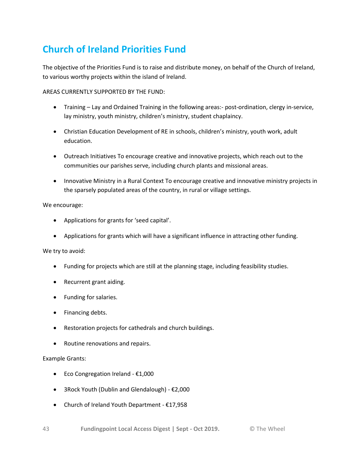# **Church of Ireland Priorities Fund**

The objective of the Priorities Fund is to raise and distribute money, on behalf of the Church of Ireland, to various worthy projects within the island of Ireland.

AREAS CURRENTLY SUPPORTED BY THE FUND:

- Training Lay and Ordained Training in the following areas:- post-ordination, clergy in-service, lay ministry, youth ministry, children's ministry, student chaplaincy.
- Christian Education Development of RE in schools, children's ministry, youth work, adult education.
- Outreach Initiatives To encourage creative and innovative projects, which reach out to the communities our parishes serve, including church plants and missional areas.
- Innovative Ministry in a Rural Context To encourage creative and innovative ministry projects in the sparsely populated areas of the country, in rural or village settings.

#### We encourage:

- Applications for grants for 'seed capital'.
- Applications for grants which will have a significant influence in attracting other funding.

#### We try to avoid:

- Funding for projects which are still at the planning stage, including feasibility studies.
- Recurrent grant aiding.
- Funding for salaries.
- Financing debts.
- Restoration projects for cathedrals and church buildings.
- Routine renovations and repairs.

#### Example Grants:

- Eco Congregation Ireland €1,000
- 3Rock Youth (Dublin and Glendalough) €2,000
- Church of Ireland Youth Department €17,958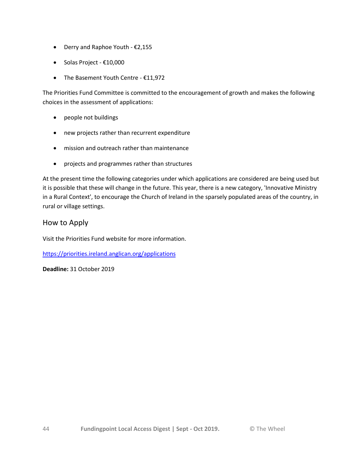- Derry and Raphoe Youth €2,155
- Solas Project €10,000
- The Basement Youth Centre €11,972

The Priorities Fund Committee is committed to the encouragement of growth and makes the following choices in the assessment of applications:

- people not buildings
- new projects rather than recurrent expenditure
- mission and outreach rather than maintenance
- projects and programmes rather than structures

At the present time the following categories under which applications are considered are being used but it is possible that these will change in the future. This year, there is a new category, 'Innovative Ministry in a Rural Context', to encourage the Church of Ireland in the sparsely populated areas of the country, in rural or village settings.

### How to Apply

Visit the Priorities Fund website for more information.

<https://priorities.ireland.anglican.org/applications>

**Deadline:** 31 October 2019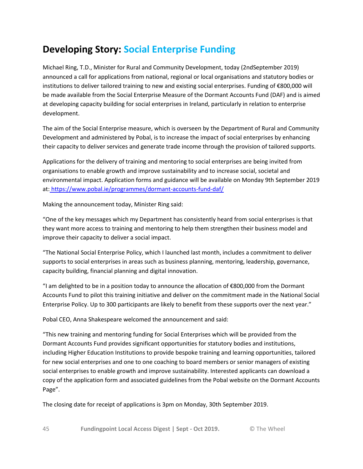# **Developing Story: Social Enterprise Funding**

Michael Ring, T.D., Minister for Rural and Community Development, today (2ndSeptember 2019) announced a call for applications from national, regional or local organisations and statutory bodies or institutions to deliver tailored training to new and existing social enterprises. Funding of €800,000 will be made available from the Social Enterprise Measure of the Dormant Accounts Fund (DAF) and is aimed at developing capacity building for social enterprises in Ireland, particularly in relation to enterprise development.

The aim of the Social Enterprise measure, which is overseen by the Department of Rural and Community Development and administered by Pobal, is to increase the impact of social enterprises by enhancing their capacity to deliver services and generate trade income through the provision of tailored supports.

Applications for the delivery of training and mentoring to social enterprises are being invited from organisations to enable growth and improve sustainability and to increase social, societal and environmental impact. Application forms and guidance will be available on Monday 9th September 2019 at: <https://www.pobal.ie/programmes/dormant-accounts-fund-daf/>

Making the announcement today, Minister Ring said:

"One of the key messages which my Department has consistently heard from social enterprises is that they want more access to training and mentoring to help them strengthen their business model and improve their capacity to deliver a social impact.

"The National Social Enterprise Policy, which I launched last month, includes a commitment to deliver supports to social enterprises in areas such as business planning, mentoring, leadership, governance, capacity building, financial planning and digital innovation.

"I am delighted to be in a position today to announce the allocation of €800,000 from the Dormant Accounts Fund to pilot this training initiative and deliver on the commitment made in the National Social Enterprise Policy. Up to 300 participants are likely to benefit from these supports over the next year."

Pobal CEO, Anna Shakespeare welcomed the announcement and said:

"This new training and mentoring funding for Social Enterprises which will be provided from the Dormant Accounts Fund provides significant opportunities for statutory bodies and institutions, including Higher Education Institutions to provide bespoke training and learning opportunities, tailored for new social enterprises and one to one coaching to board members or senior managers of existing social enterprises to enable growth and improve sustainability. Interested applicants can download a copy of the application form and associated guidelines from the Pobal website on the Dormant Accounts Page".

The closing date for receipt of applications is 3pm on Monday, 30th September 2019.